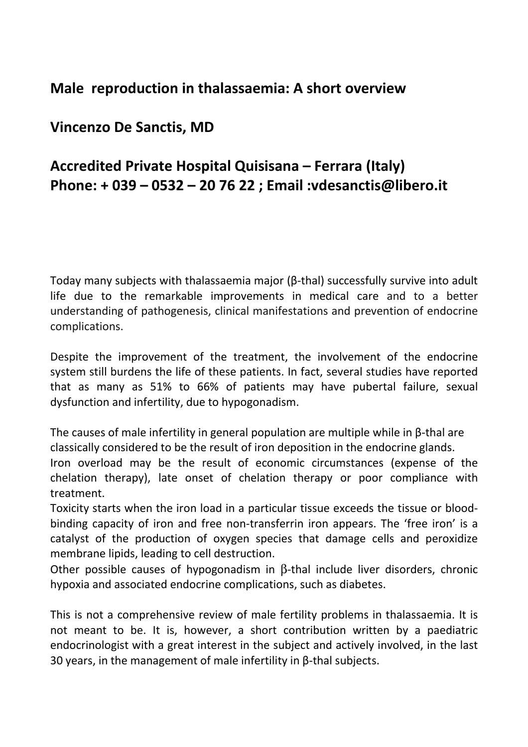# Male reproduction in thalassaemia: A short overview

# Vincenzo De Sanctis, MD

# Accredited Private Hospital Quisisana – Ferrara (Italy) Phone: + 039 – 0532 – 20 76 22 ; Email :vdesanctis@libero.it

Today many subjects with thalassaemia major (β-thal) successfully survive into adult life due to the remarkable improvements in medical care and to a better understanding of pathogenesis, clinical manifestations and prevention of endocrine complications.

Despite the improvement of the treatment, the involvement of the endocrine system still burdens the life of these patients. In fact, several studies have reported that as many as 51% to 66% of patients may have pubertal failure, sexual dysfunction and infertility, due to hypogonadism.

The causes of male infertility in general population are multiple while in β-thal are classically considered to be the result of iron deposition in the endocrine glands.

Iron overload may be the result of economic circumstances (expense of the chelation therapy), late onset of chelation therapy or poor compliance with treatment.

Toxicity starts when the iron load in a particular tissue exceeds the tissue or bloodbinding capacity of iron and free non-transferrin iron appears. The 'free iron' is a catalyst of the production of oxygen species that damage cells and peroxidize membrane lipids, leading to cell destruction.

Other possible causes of hypogonadism in β-thal include liver disorders, chronic hypoxia and associated endocrine complications, such as diabetes.

This is not a comprehensive review of male fertility problems in thalassaemia. It is not meant to be. It is, however, a short contribution written by a paediatric endocrinologist with a great interest in the subject and actively involved, in the last 30 years, in the management of male infertility in β-thal subjects.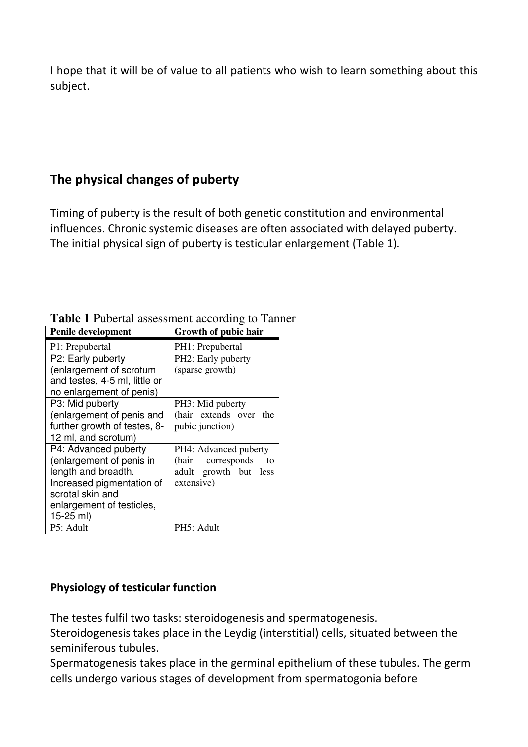I hope that it will be of value to all patients who wish to learn something about this subject.

# The physical changes of puberty

Timing of puberty is the result of both genetic constitution and environmental influences. Chronic systemic diseases are often associated with delayed puberty. The initial physical sign of puberty is testicular enlargement (Table 1).

| <b>Penile development</b>     | Growth of pubic hair       |
|-------------------------------|----------------------------|
| P1: Prepubertal               | PH1: Prepubertal           |
| P2: Early puberty             | PH2: Early puberty         |
| (enlargement of scrotum       | (sparse growth)            |
| and testes, 4-5 ml, little or |                            |
| no enlargement of penis)      |                            |
| P3: Mid puberty               | PH3: Mid puberty           |
| (enlargement of penis and     | (hair extends over the     |
| further growth of testes, 8-  | pubic junction)            |
| 12 ml, and scrotum)           |                            |
| P4: Advanced puberty          | PH4: Advanced puberty      |
| (enlargement of penis in      | (hair<br>corresponds<br>to |
| length and breadth.           | adult growth but less      |
| Increased pigmentation of     | extensive)                 |
| scrotal skin and              |                            |
| enlargement of testicles,     |                            |
| 15-25 ml)                     |                            |
| P5: Adult                     | PH5: Adult                 |

**Table 1** Pubertal assessment according to Tanner

### Physiology of testicular function

The testes fulfil two tasks: steroidogenesis and spermatogenesis.

Steroidogenesis takes place in the Leydig (interstitial) cells, situated between the seminiferous tubules.

Spermatogenesis takes place in the germinal epithelium of these tubules. The germ cells undergo various stages of development from spermatogonia before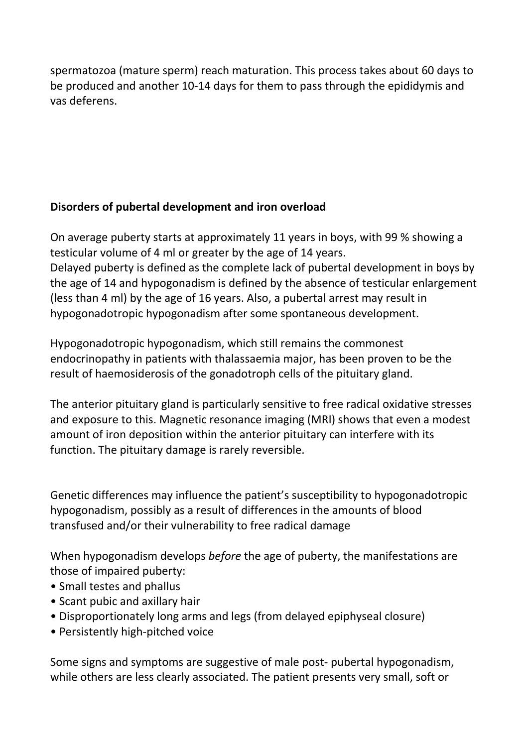spermatozoa (mature sperm) reach maturation. This process takes about 60 days to be produced and another 10-14 days for them to pass through the epididymis and vas deferens.

### Disorders of pubertal development and iron overload

On average puberty starts at approximately 11 years in boys, with 99 % showing a testicular volume of 4 ml or greater by the age of 14 years. Delayed puberty is defined as the complete lack of pubertal development in boys by the age of 14 and hypogonadism is defined by the absence of testicular enlargement (less than 4 ml) by the age of 16 years. Also, a pubertal arrest may result in hypogonadotropic hypogonadism after some spontaneous development.

Hypogonadotropic hypogonadism, which still remains the commonest endocrinopathy in patients with thalassaemia major, has been proven to be the result of haemosiderosis of the gonadotroph cells of the pituitary gland.

The anterior pituitary gland is particularly sensitive to free radical oxidative stresses and exposure to this. Magnetic resonance imaging (MRI) shows that even a modest amount of iron deposition within the anterior pituitary can interfere with its function. The pituitary damage is rarely reversible.

Genetic differences may influence the patient's susceptibility to hypogonadotropic hypogonadism, possibly as a result of differences in the amounts of blood transfused and/or their vulnerability to free radical damage

When hypogonadism develops *before* the age of puberty, the manifestations are those of impaired puberty:

- Small testes and phallus
- Scant pubic and axillary hair
- Disproportionately long arms and legs (from delayed epiphyseal closure)
- Persistently high-pitched voice

Some signs and symptoms are suggestive of male post- pubertal hypogonadism, while others are less clearly associated. The patient presents very small, soft or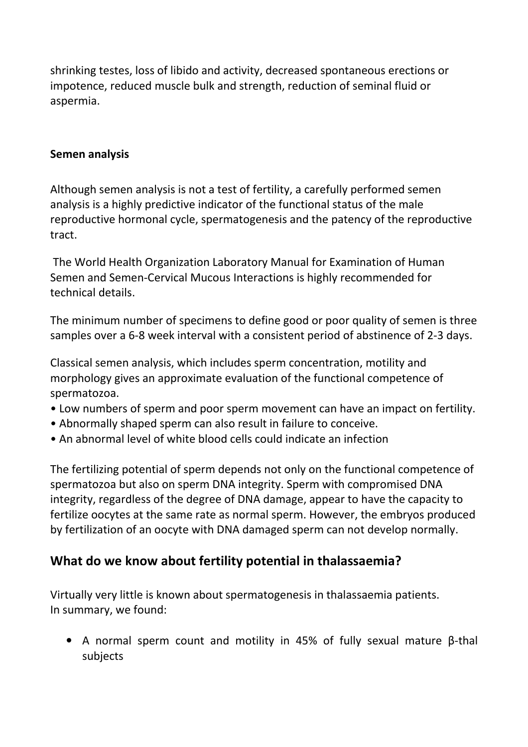shrinking testes, loss of libido and activity, decreased spontaneous erections or impotence, reduced muscle bulk and strength, reduction of seminal fluid or aspermia.

### Semen analysis

Although semen analysis is not a test of fertility, a carefully performed semen analysis is a highly predictive indicator of the functional status of the male reproductive hormonal cycle, spermatogenesis and the patency of the reproductive tract.

 The World Health Organization Laboratory Manual for Examination of Human Semen and Semen-Cervical Mucous Interactions is highly recommended for technical details.

The minimum number of specimens to define good or poor quality of semen is three samples over a 6-8 week interval with a consistent period of abstinence of 2-3 days.

Classical semen analysis, which includes sperm concentration, motility and morphology gives an approximate evaluation of the functional competence of spermatozoa.

- Low numbers of sperm and poor sperm movement can have an impact on fertility.
- Abnormally shaped sperm can also result in failure to conceive.
- An abnormal level of white blood cells could indicate an infection

The fertilizing potential of sperm depends not only on the functional competence of spermatozoa but also on sperm DNA integrity. Sperm with compromised DNA integrity, regardless of the degree of DNA damage, appear to have the capacity to fertilize oocytes at the same rate as normal sperm. However, the embryos produced by fertilization of an oocyte with DNA damaged sperm can not develop normally.

### What do we know about fertility potential in thalassaemia?

Virtually very little is known about spermatogenesis in thalassaemia patients. In summary, we found:

• A normal sperm count and motility in 45% of fully sexual mature β-thal subjects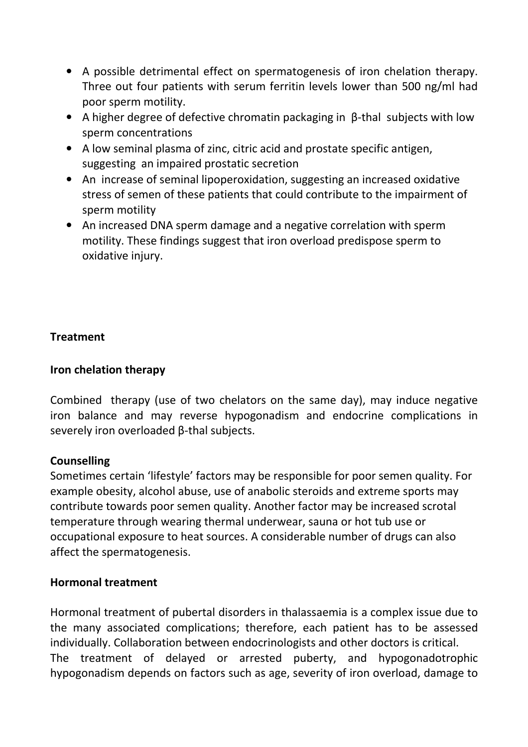- A possible detrimental effect on spermatogenesis of iron chelation therapy. Three out four patients with serum ferritin levels lower than 500 ng/ml had poor sperm motility.
- A higher degree of defective chromatin packaging in β-thal subjects with low sperm concentrations
- A low seminal plasma of zinc, citric acid and prostate specific antigen, suggesting an impaired prostatic secretion
- An increase of seminal lipoperoxidation, suggesting an increased oxidative stress of semen of these patients that could contribute to the impairment of sperm motility
- An increased DNA sperm damage and a negative correlation with sperm motility. These findings suggest that iron overload predispose sperm to oxidative injury.

### Treatment

### Iron chelation therapy

Combined therapy (use of two chelators on the same day), may induce negative iron balance and may reverse hypogonadism and endocrine complications in severely iron overloaded β-thal subjects.

### Counselling

Sometimes certain 'lifestyle' factors may be responsible for poor semen quality. For example obesity, alcohol abuse, use of anabolic steroids and extreme sports may contribute towards poor semen quality. Another factor may be increased scrotal temperature through wearing thermal underwear, sauna or hot tub use or occupational exposure to heat sources. A considerable number of drugs can also affect the spermatogenesis.

#### Hormonal treatment

Hormonal treatment of pubertal disorders in thalassaemia is a complex issue due to the many associated complications; therefore, each patient has to be assessed individually. Collaboration between endocrinologists and other doctors is critical. The treatment of delayed or arrested puberty, and hypogonadotrophic hypogonadism depends on factors such as age, severity of iron overload, damage to